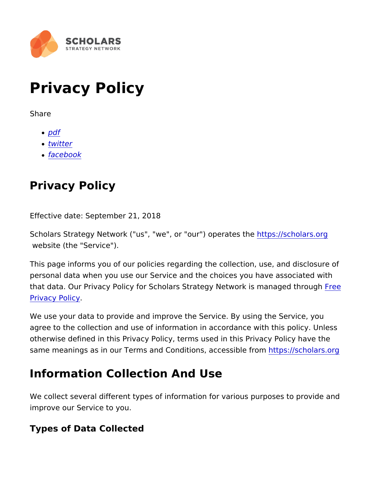# Privacy Policy

Share

- [pd](https://www.scholars.org/print/pdf/node/16888)f
- [twitt](https://twitter.com/intent/tweet?text=Privacy+Policy https://www.scholars.org/privacy-policy)er
- [facebo](https://www.facebook.com/sharer/sharer.php?u=https://www.scholars.org/privacy-policy)ok

### Privacy Policy

Effective date: September 21, 2018

Scholars Strategy Network ("us", "we", or "duttps://pserbatesing.com website (the "Service").

This page informs you of our policies regarding the collection, us personal data when you use our Service and the choices you have that data. Our Privacy Policy for Scholars Strategy Net[work](https://www.freeprivacypolicy.com/free-privacy-policy-generator.php)es ma [Privacy P](https://www.freeprivacypolicy.com/free-privacy-policy-generator.php)olicy .

We use your data to provide and improve the Service. By using th agree to the collection and use of information in accordance with otherwise defined in this Privacy Policy, terms used in this Priva same meanings as in our Terms and Conditionbttpsc/essibolbafsomg

### Information Collection And Use

We collect several different types of information for various purp improve our Service to you.

Types of Data Collected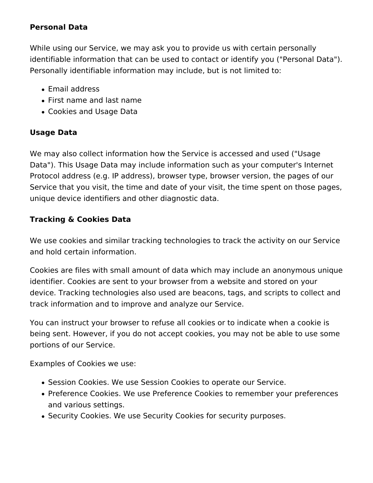#### **Personal Data**

While using our Service, we may ask you to provide us with certain personally identifiable information that can be used to contact or identify you ("Personal Data"). Personally identifiable information may include, but is not limited to:

- Email address
- First name and last name
- Cookies and Usage Data

#### **Usage Data**

We may also collect information how the Service is accessed and used ("Usage Data"). This Usage Data may include information such as your computer's Internet Protocol address (e.g. IP address), browser type, browser version, the pages of our Service that you visit, the time and date of your visit, the time spent on those pages, unique device identifiers and other diagnostic data.

#### **Tracking & Cookies Data**

We use cookies and similar tracking technologies to track the activity on our Service and hold certain information.

Cookies are files with small amount of data which may include an anonymous unique identifier. Cookies are sent to your browser from a website and stored on your device. Tracking technologies also used are beacons, tags, and scripts to collect and track information and to improve and analyze our Service.

You can instruct your browser to refuse all cookies or to indicate when a cookie is being sent. However, if you do not accept cookies, you may not be able to use some portions of our Service.

Examples of Cookies we use:

- Session Cookies. We use Session Cookies to operate our Service.
- Preference Cookies. We use Preference Cookies to remember your preferences and various settings.
- Security Cookies. We use Security Cookies for security purposes.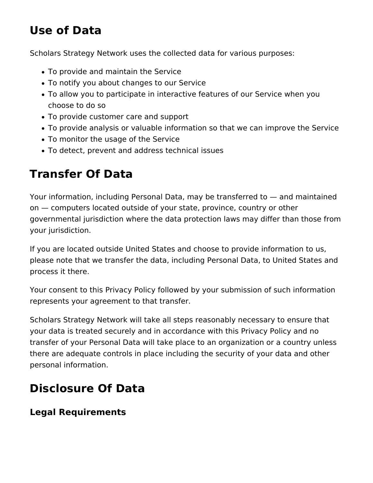# **Use of Data**

Scholars Strategy Network uses the collected data for various purposes:

- To provide and maintain the Service
- To notify you about changes to our Service
- To allow you to participate in interactive features of our Service when you choose to do so
- To provide customer care and support
- To provide analysis or valuable information so that we can improve the Service
- To monitor the usage of the Service
- To detect, prevent and address technical issues

# **Transfer Of Data**

Your information, including Personal Data, may be transferred to — and maintained on — computers located outside of your state, province, country or other governmental jurisdiction where the data protection laws may differ than those from your jurisdiction.

If you are located outside United States and choose to provide information to us, please note that we transfer the data, including Personal Data, to United States and process it there.

Your consent to this Privacy Policy followed by your submission of such information represents your agreement to that transfer.

Scholars Strategy Network will take all steps reasonably necessary to ensure that your data is treated securely and in accordance with this Privacy Policy and no transfer of your Personal Data will take place to an organization or a country unless there are adequate controls in place including the security of your data and other personal information.

# **Disclosure Of Data**

### **Legal Requirements**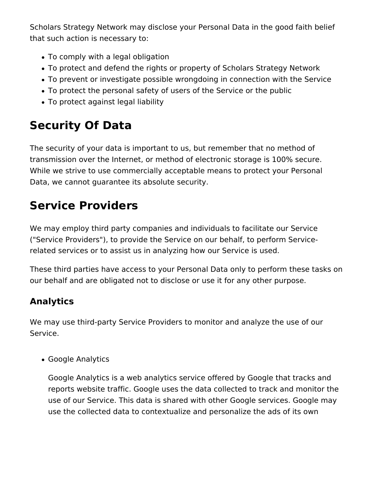Scholars Strategy Network may disclose your Personal Data in the good faith belief that such action is necessary to:

- To comply with a legal obligation
- To protect and defend the rights or property of Scholars Strategy Network
- To prevent or investigate possible wrongdoing in connection with the Service
- To protect the personal safety of users of the Service or the public
- To protect against legal liability

# **Security Of Data**

The security of your data is important to us, but remember that no method of transmission over the Internet, or method of electronic storage is 100% secure. While we strive to use commercially acceptable means to protect your Personal Data, we cannot guarantee its absolute security.

## **Service Providers**

We may employ third party companies and individuals to facilitate our Service ("Service Providers"), to provide the Service on our behalf, to perform Servicerelated services or to assist us in analyzing how our Service is used.

These third parties have access to your Personal Data only to perform these tasks on our behalf and are obligated not to disclose or use it for any other purpose.

### **Analytics**

We may use third-party Service Providers to monitor and analyze the use of our Service.

Google Analytics

Google Analytics is a web analytics service offered by Google that tracks and reports website traffic. Google uses the data collected to track and monitor the use of our Service. This data is shared with other Google services. Google may use the collected data to contextualize and personalize the ads of its own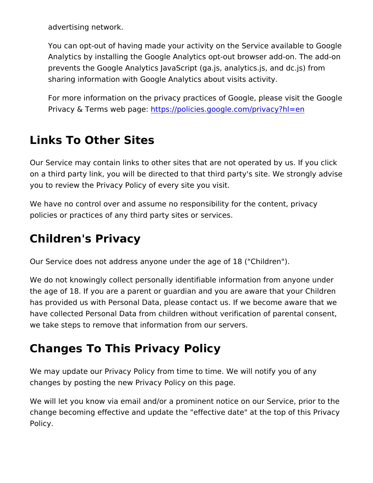advertising network.

You can opt-out of having made your activity on the Service a Analytics by installing the Google Analytics opt-out browser a prevents the Google Analytics JavaScript (ga.js, analytics.js, sharing information with Google Analytics about visits activity.

For more information on the privacy practices of Google, plea Privacy & Terms web tpase/policies.google.com/privacy?hl=en

### Links To Other Sites

Our Service may contain links to other sites that are not operated on a third party link, you will be directed to that third party's site you to review the Privacy Policy of every site you visit.

We have no control over and assume no responsibility for the con policies or practices of any third party sites or services.

#### Children's Privacy

Our Service does not address anyone under the age of 18 ("Children").

We do not knowingly collect personally identifiable information fr the age of 18. If you are a parent or guardian and you are aware has provided us with Personal Data, please contact us. If we become have collected Personal Data from children without verification of we take steps to remove that information from our servers.

### Changes To This Privacy Policy

We may update our Privacy Policy from time to time. We will notif changes by posting the new Privacy Policy on this page.

We will let you know via email and/or a prominent notice on our S change becoming effective and update the "effective date" at the Policy.